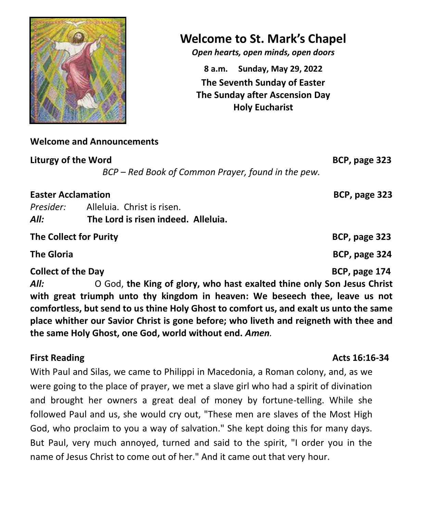

# **Welcome to St. Mark's Chapel**

*Open hearts, open minds, open doors*

**8 a.m. Sunday, May 29, 2022 The Seventh Sunday of Easter The Sunday after Ascension Day Holy Eucharist**

## **Welcome and Announcements**

**Liturgy of the Word****BCP, page 323**

*BCP – Red Book of Common Prayer, found in the pew.*

**Easter Acclamation BCP, page 323** 

*Presider:* Alleluia. Christ is risen. *All:* **The Lord is risen indeed. Alleluia.** 

**The Collect for Purity BCP, page 323 The Gloria** BCP, page 324 **Collect of the Day BCP, page 174** 

*All:* O God, **the King of glory, who hast exalted thine only Son Jesus Christ with great triumph unto thy kingdom in heaven: We beseech thee, leave us not comfortless, but send to us thine Holy Ghost to comfort us, and exalt us unto the same place whither our Savior Christ is gone before; who liveth and reigneth with thee and the same Holy Ghost, one God, world without end.** *Amen.*

**First Reading Acts 16:16-34** 

With Paul and Silas, we came to Philippi in Macedonia, a Roman colony, and, as we were going to the place of prayer, we met a slave girl who had a spirit of divination and brought her owners a great deal of money by fortune-telling. While she followed Paul and us, she would cry out, "These men are slaves of the Most High God, who proclaim to you a way of salvation." She kept doing this for many days. But Paul, very much annoyed, turned and said to the spirit, "I order you in the name of Jesus Christ to come out of her." And it came out that very hour.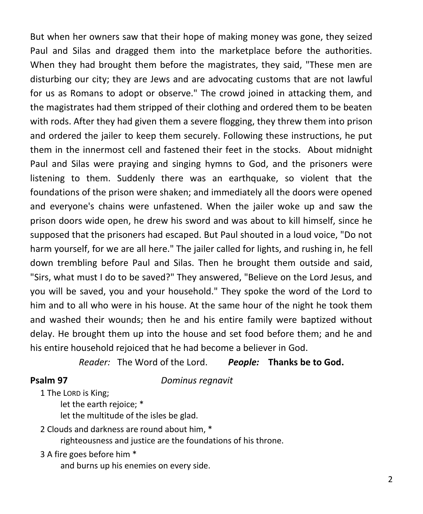But when her owners saw that their hope of making money was gone, they seized Paul and Silas and dragged them into the marketplace before the authorities. When they had brought them before the magistrates, they said, "These men are disturbing our city; they are Jews and are advocating customs that are not lawful for us as Romans to adopt or observe." The crowd joined in attacking them, and the magistrates had them stripped of their clothing and ordered them to be beaten with rods. After they had given them a severe flogging, they threw them into prison and ordered the jailer to keep them securely. Following these instructions, he put them in the innermost cell and fastened their feet in the stocks. About midnight Paul and Silas were praying and singing hymns to God, and the prisoners were listening to them. Suddenly there was an earthquake, so violent that the foundations of the prison were shaken; and immediately all the doors were opened and everyone's chains were unfastened. When the jailer woke up and saw the prison doors wide open, he drew his sword and was about to kill himself, since he supposed that the prisoners had escaped. But Paul shouted in a loud voice, "Do not harm yourself, for we are all here." The jailer called for lights, and rushing in, he fell down trembling before Paul and Silas. Then he brought them outside and said, "Sirs, what must I do to be saved?" They answered, "Believe on the Lord Jesus, and you will be saved, you and your household." They spoke the word of the Lord to him and to all who were in his house. At the same hour of the night he took them and washed their wounds; then he and his entire family were baptized without delay. He brought them up into the house and set food before them; and he and his entire household rejoiced that he had become a believer in God.

*Reader:* The Word of the Lord. *People:* **Thanks be to God.**

**Psalm 97** *Dominus regnavit* 

1 The LORD is King;

let the earth rejoice; \*

let the multitude of the isles be glad.

2 Clouds and darkness are round about him, \*

righteousness and justice are the foundations of his throne.

3 A fire goes before him \*

and burns up his enemies on every side.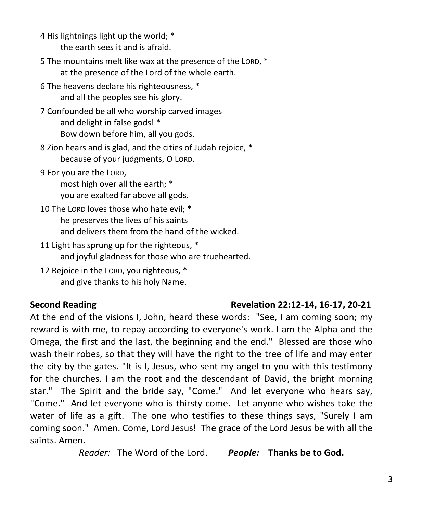4 His lightnings light up the world; \* the earth sees it and is afraid.

5 The mountains melt like wax at the presence of the LORD, \* at the presence of the Lord of the whole earth.

6 The heavens declare his righteousness, \* and all the peoples see his glory.

7 Confounded be all who worship carved images and delight in false gods! \* Bow down before him, all you gods.

8 Zion hears and is glad, and the cities of Judah rejoice, \* because of your judgments, O LORD.

9 For you are the LORD,

most high over all the earth; \* you are exalted far above all gods.

10 The LORD loves those who hate evil; \* he preserves the lives of his saints and delivers them from the hand of the wicked.

11 Light has sprung up for the righteous. \* and joyful gladness for those who are truehearted.

12 Rejoice in the LORD, you righteous, \* and give thanks to his holy Name.

# **Second Reading Revelation 22:12-14, 16-17, 20-21**

At the end of the visions I, John, heard these words: "See, I am coming soon; my reward is with me, to repay according to everyone's work. I am the Alpha and the Omega, the first and the last, the beginning and the end." Blessed are those who wash their robes, so that they will have the right to the tree of life and may enter the city by the gates. "It is I, Jesus, who sent my angel to you with this testimony for the churches. I am the root and the descendant of David, the bright morning star." The Spirit and the bride say, "Come." And let everyone who hears say, "Come." And let everyone who is thirsty come. Let anyone who wishes take the water of life as a gift. The one who testifies to these things says, "Surely I am coming soon." Amen. Come, Lord Jesus! The grace of the Lord Jesus be with all the saints. Amen.

*Reader:* The Word of the Lord. *People:* **Thanks be to God.**